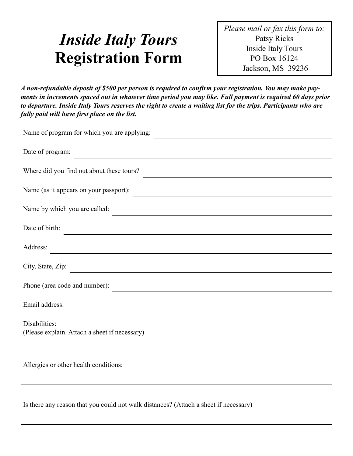# *Inside Italy Tours*  **Registration Form**

*Please mail or fax this form to:*  Patsy Ricks Inside Italy Tours PO Box 16124 Jackson, MS 39236

*A non-refundable deposit of \$500 per person is required to confirm your registration. You may make payments in increments spaced out in whatever time period you may like. Full payment is required 60 days prior to departure. Inside Italy Tours reserves the right to create a waiting list for the trips. Participants who are fully paid will have first place on the list.* 

| Name of program for which you are applying:                                                                                              |
|------------------------------------------------------------------------------------------------------------------------------------------|
| Date of program:                                                                                                                         |
| Where did you find out about these tours?                                                                                                |
| Name (as it appears on your passport):                                                                                                   |
| Name by which you are called:                                                                                                            |
| Date of birth:<br><u> 1989 - Johann Stoff, deutscher Stoffen und der Stoffen und der Stoffen und der Stoffen und der Stoffen und der</u> |
| Address:                                                                                                                                 |
| City, State, Zip:                                                                                                                        |
| Phone (area code and number):                                                                                                            |
| Email address:                                                                                                                           |
| Disabilities:<br>(Please explain. Attach a sheet if necessary)                                                                           |
| Allergies or other health conditions:                                                                                                    |

Is there any reason that you could not walk distances? (Attach a sheet if necessary)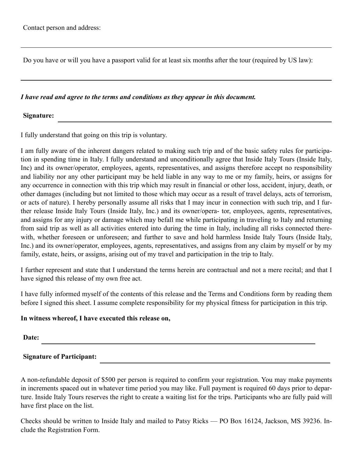Do you have or will you have a passport valid for at least six months after the tour (required by US law):

### *I have read and agree to the terms and conditions as they appear in this document.*

### **Signature:**

I fully understand that going on this trip is voluntary.

I am fully aware of the inherent dangers related to making such trip and of the basic safety rules for participation in spending time in Italy. I fully understand and unconditionally agree that Inside Italy Tours (Inside Italy, Inc) and its owner/operator, employees, agents, representatives, and assigns therefore accept no responsibility and liability nor any other participant may be held liable in any way to me or my family, heirs, or assigns for any occurrence in connection with this trip which may result in financial or other loss, accident, injury, death, or other damages (including but not limited to those which may occur as a result of travel delays, acts of terrorism, or acts of nature). I hereby personally assume all risks that I may incur in connection with such trip, and I further release Inside Italy Tours (Inside Italy, Inc.) and its owner/opera- tor, employees, agents, representatives, and assigns for any injury or damage which may befall me while participating in traveling to Italy and returning from said trip as well as all activities entered into during the time in Italy, including all risks connected therewith, whether foreseen or unforeseen; and further to save and hold harmless Inside Italy Tours (Inside Italy, Inc.) and its owner/operator, employees, agents, representatives, and assigns from any claim by myself or by my family, estate, heirs, or assigns, arising out of my travel and participation in the trip to Italy.

I further represent and state that I understand the terms herein are contractual and not a mere recital; and that I have signed this release of my own free act.

I have fully informed myself of the contents of this release and the Terms and Conditions form by reading them before I signed this sheet. I assume complete responsibility for my physical fitness for participation in this trip.

## **In witness whereof, I have executed this release on,**

**Date:**

**Signature of Participant:** 

A non-refundable deposit of \$500 per person is required to confirm your registration. You may make payments in increments spaced out in whatever time period you may like. Full payment is required 60 days prior to departure. Inside Italy Tours reserves the right to create a waiting list for the trips. Participants who are fully paid will have first place on the list.

Checks should be written to Inside Italy and mailed to Patsy Ricks — PO Box 16124, Jackson, MS 39236. Include the Registration Form.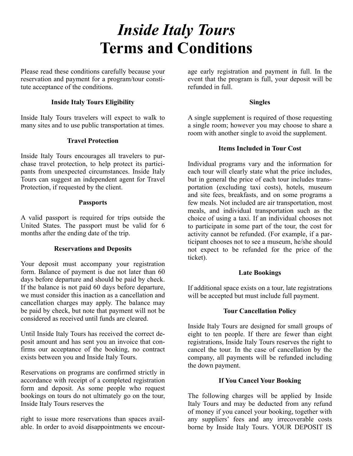# *Inside Italy Tours*  **Terms and Conditions**

Please read these conditions carefully because your reservation and payment for a program/tour constitute acceptance of the conditions.

# **Inside Italy Tours Eligibility**

Inside Italy Tours travelers will expect to walk to many sites and to use public transportation at times.

# **Travel Protection**

Inside Italy Tours encourages all travelers to purchase travel protection, to help protect its participants from unexpected circumstances. Inside Italy Tours can suggest an independent agent for Travel Protection, if requested by the client.

## **Passports**

A valid passport is required for trips outside the United States. The passport must be valid for 6 months after the ending date of the trip.

# **Reservations and Deposits**

Your deposit must accompany your registration form. Balance of payment is due not later than 60 days before departure and should be paid by check. If the balance is not paid 60 days before departure, we must consider this inaction as a cancellation and cancellation charges may apply. The balance may be paid by check, but note that payment will not be considered as received until funds are cleared.

Until Inside Italy Tours has received the correct deposit amount and has sent you an invoice that confirms our acceptance of the booking, no contract exists between you and Inside Italy Tours.

Reservations on programs are confirmed strictly in accordance with receipt of a completed registration form and deposit. As some people who request bookings on tours do not ultimately go on the tour, Inside Italy Tours reserves the

right to issue more reservations than spaces available. In order to avoid disappointments we encourage early registration and payment in full. In the event that the program is full, your deposit will be refunded in full.

# **Singles**

A single supplement is required of those requesting a single room; however you may choose to share a room with another single to avoid the supplement.

# **Items Included in Tour Cost**

Individual programs vary and the information for each tour will clearly state what the price includes, but in general the price of each tour includes transportation (excluding taxi costs), hotels, museum and site fees, breakfasts, and on some programs a few meals. Not included are air transportation, most meals, and individual transportation such as the choice of using a taxi. If an individual chooses not to participate in some part of the tour, the cost for activity cannot be refunded. (For example, if a participant chooses not to see a museum, he/she should not expect to be refunded for the price of the ticket).

## **Late Bookings**

If additional space exists on a tour, late registrations will be accepted but must include full payment.

# **Tour Cancellation Policy**

Inside Italy Tours are designed for small groups of eight to ten people. If there are fewer than eight registrations, Inside Italy Tours reserves the right to cancel the tour. In the case of cancellation by the company, all payments will be refunded including the down payment.

## **If You Cancel Your Booking**

The following charges will be applied by Inside Italy Tours and may be deducted from any refund of money if you cancel your booking, together with any suppliers' fees and any irrecoverable costs borne by Inside Italy Tours. YOUR DEPOSIT IS